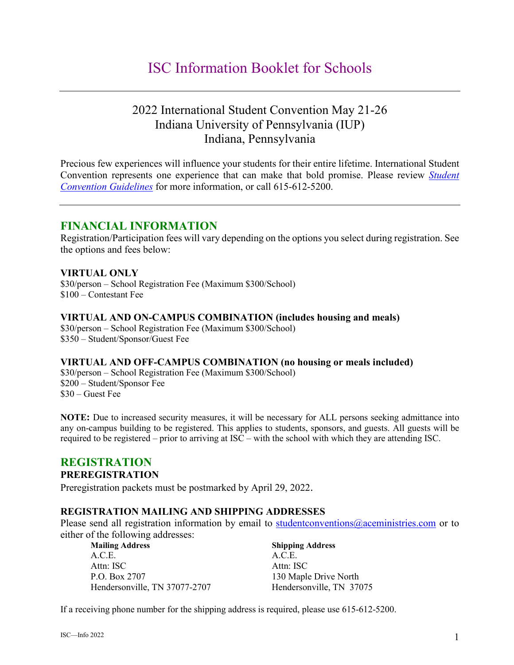# ISC Information Booklet for Schools

## 2022 International Student Convention May 21-26 Indiana University of Pennsylvania (IUP) Indiana, Pennsylvania

Precious few experiences will influence your students for their entire lifetime. International Student Convention represents one experience that can make that bold promise. Please review *[Student](https://www.acestudentprograms.com/guidelines)  [Convention Guidelines](https://www.acestudentprograms.com/guidelines)* for more information, or call 615-612-5200.

### **FINANCIAL INFORMATION**

Registration/Participation fees will vary depending on the options you select during registration. See the options and fees below:

### **VIRTUAL ONLY**

\$30/person – School Registration Fee (Maximum \$300/School) \$100 – Contestant Fee

### **VIRTUAL AND ON-CAMPUS COMBINATION (includes housing and meals)**

\$30/person – School Registration Fee (Maximum \$300/School) \$350 – Student/Sponsor/Guest Fee

### **VIRTUAL AND OFF-CAMPUS COMBINATION (no housing or meals included)**

\$30/person – School Registration Fee (Maximum \$300/School) \$200 – Student/Sponsor Fee \$30 – Guest Fee

**NOTE:** Due to increased security measures, it will be necessary for ALL persons seeking admittance into any on-campus building to be registered. This applies to students, sponsors, and guests. All guests will be required to be registered – prior to arriving at ISC – with the school with which they are attending ISC.

### **REGISTRATION**

### **PREREGISTRATION**

Preregistration packets must be postmarked by April 29, 2022.

### **REGISTRATION MAILING AND SHIPPING ADDRESSES**

Please send all registration information by email to student conventions @aceministries.com or to either of the following addresses:

| <b>Mailing Address</b>        | <b>Shipping Address</b>  |
|-------------------------------|--------------------------|
| A.C.E.                        | A.C.E.                   |
| Attn: ISC                     | Attn: ISC                |
| P.O. Box 2707                 | 130 Maple Drive North    |
| Hendersonville, TN 37077-2707 | Hendersonville, TN 37075 |

If a receiving phone number for the shipping address is required, please use 615-612-5200.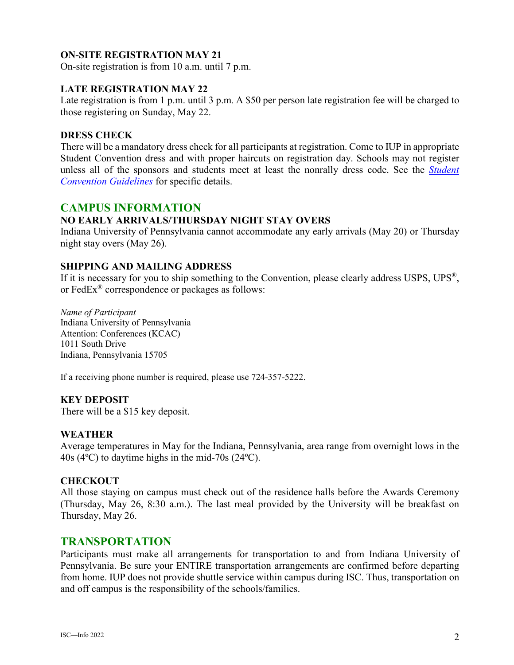### **ON-SITE REGISTRATION MAY 21**

On-site registration is from 10 a.m. until 7 p.m.

### **LATE REGISTRATION MAY 22**

Late registration is from 1 p.m. until 3 p.m. A \$50 per person late registration fee will be charged to those registering on Sunday, May 22.

### **DRESS CHECK**

There will be a mandatory dress check for all participants at registration. Come to IUP in appropriate Student Convention dress and with proper haircuts on registration day. Schools may not register unless all of the sponsors and students meet at least the nonrally dress code. See the *[Student](https://www.acestudentprograms.com/guidelines)  [Convention Guidelines](https://www.acestudentprograms.com/guidelines)* for specific details.

### **CAMPUS INFORMATION**

#### **NO EARLY ARRIVALS/THURSDAY NIGHT STAY OVERS**

Indiana University of Pennsylvania cannot accommodate any early arrivals (May 20) or Thursday night stay overs (May 26).

#### **SHIPPING AND MAILING ADDRESS**

If it is necessary for you to ship something to the Convention, please clearly address USPS, UPS®, or FedEx® correspondence or packages as follows:

*Name of Participant* Indiana University of Pennsylvania Attention: Conferences (KCAC) 1011 South Drive Indiana, Pennsylvania 15705

If a receiving phone number is required, please use 724-357-5222.

#### **KEY DEPOSIT**

There will be a \$15 key deposit.

### **WEATHER**

Average temperatures in May for the Indiana, Pennsylvania, area range from overnight lows in the 40s (4ºC) to daytime highs in the mid-70s (24ºC).

#### **CHECKOUT**

All those staying on campus must check out of the residence halls before the Awards Ceremony (Thursday, May 26, 8:30 a.m.). The last meal provided by the University will be breakfast on Thursday, May 26.

### **TRANSPORTATION**

Participants must make all arrangements for transportation to and from Indiana University of Pennsylvania. Be sure your ENTIRE transportation arrangements are confirmed before departing from home. IUP does not provide shuttle service within campus during ISC. Thus, transportation on and off campus is the responsibility of the schools/families.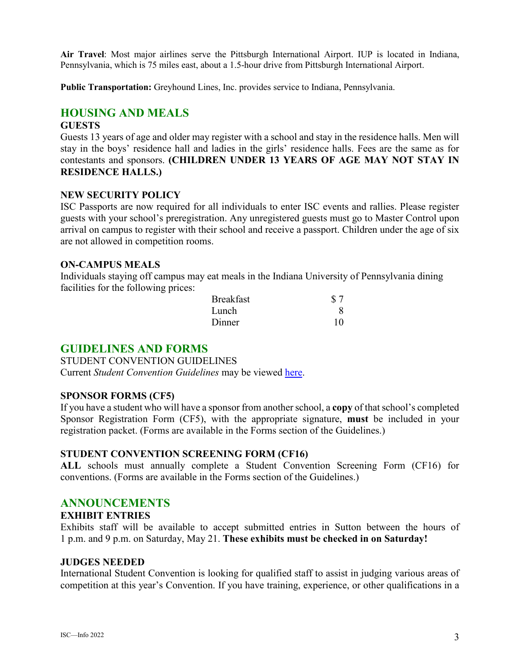**Air Travel**: Most major airlines serve the Pittsburgh International Airport. IUP is located in Indiana, Pennsylvania, which is 75 miles east, about a 1.5-hour drive from Pittsburgh International Airport.

**Public Transportation:** Greyhound Lines, Inc. provides service to Indiana, Pennsylvania.

### **HOUSING AND MEALS**

### **GUESTS**

Guests 13 years of age and older may register with a school and stay in the residence halls. Men will stay in the boys' residence hall and ladies in the girls' residence halls. Fees are the same as for contestants and sponsors. **(CHILDREN UNDER 13 YEARS OF AGE MAY NOT STAY IN RESIDENCE HALLS.)**

#### **NEW SECURITY POLICY**

ISC Passports are now required for all individuals to enter ISC events and rallies. Please register guests with your school's preregistration. Any unregistered guests must go to Master Control upon arrival on campus to register with their school and receive a passport. Children under the age of six are not allowed in competition rooms.

### **ON-CAMPUS MEALS**

Individuals staying off campus may eat meals in the Indiana University of Pennsylvania dining facilities for the following prices:

| <b>Breakfast</b> | \$7 |
|------------------|-----|
| Lunch            |     |
| Dinner           | 10  |

### **GUIDELINES AND FORMS**

STUDENT CONVENTION GUIDELINES Current *Student Convention Guidelines* may be viewed [here.](https://www.acestudentprograms.com/guidelines)

#### **SPONSOR FORMS (CF5)**

If you have a student who will have a sponsor from another school, a **copy** of that school's completed Sponsor Registration Form (CF5), with the appropriate signature, **must** be included in your registration packet. (Forms are available in the Forms section of the Guidelines.)

### **STUDENT CONVENTION SCREENING FORM (CF16)**

**ALL** schools must annually complete a Student Convention Screening Form (CF16) for conventions. (Forms are available in the Forms section of the Guidelines.)

### **ANNOUNCEMENTS**

### **EXHIBIT ENTRIES**

Exhibits staff will be available to accept submitted entries in Sutton between the hours of 1 p.m. and 9 p.m. on Saturday, May 21. **These exhibits must be checked in on Saturday!**

#### **JUDGES NEEDED**

International Student Convention is looking for qualified staff to assist in judging various areas of competition at this year's Convention. If you have training, experience, or other qualifications in a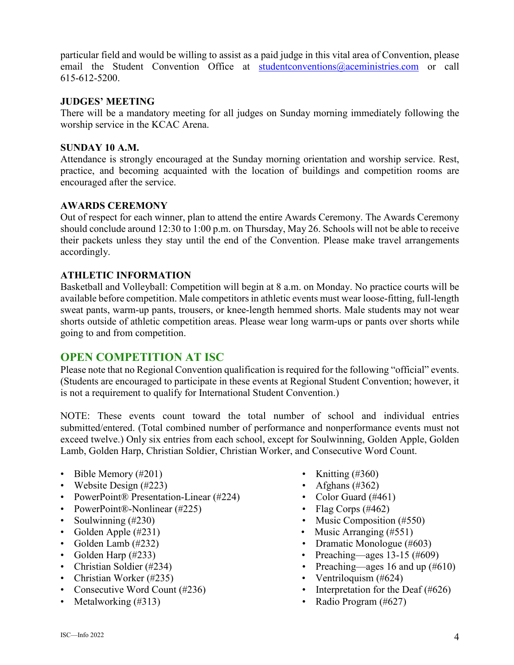particular field and would be willing to assist as a paid judge in this vital area of Convention, please email the Student Convention Office at [studentconventions@aceministries.com](mailto:studentconventions@aceministries.com) or call 615-612-5200.

### **JUDGES' MEETING**

There will be a mandatory meeting for all judges on Sunday morning immediately following the worship service in the KCAC Arena.

### **SUNDAY 10 A.M.**

Attendance is strongly encouraged at the Sunday morning orientation and worship service. Rest, practice, and becoming acquainted with the location of buildings and competition rooms are encouraged after the service.

### **AWARDS CEREMONY**

Out of respect for each winner, plan to attend the entire Awards Ceremony. The Awards Ceremony should conclude around 12:30 to 1:00 p.m. on Thursday, May 26. Schools will not be able to receive their packets unless they stay until the end of the Convention. Please make travel arrangements accordingly.

### **ATHLETIC INFORMATION**

Basketball and Volleyball: Competition will begin at 8 a.m. on Monday. No practice courts will be available before competition. Male competitors in athletic events must wear loose-fitting, full-length sweat pants, warm-up pants, trousers, or knee-length hemmed shorts. Male students may not wear shorts outside of athletic competition areas. Please wear long warm-ups or pants over shorts while going to and from competition.

### **OPEN COMPETITION AT ISC**

Please note that no Regional Convention qualification is required for the following "official" events. (Students are encouraged to participate in these events at Regional Student Convention; however, it is not a requirement to qualify for International Student Convention.)

NOTE: These events count toward the total number of school and individual entries submitted/entered. (Total combined number of performance and nonperformance events must not exceed twelve.) Only six entries from each school, except for Soulwinning, Golden Apple, Golden Lamb, Golden Harp, Christian Soldier, Christian Worker, and Consecutive Word Count.

- Bible Memory  $(\#201)$  Knitting  $(\#360)$
- Website Design  $(\#223)$  Afghans  $(\#362)$
- PowerPoint® Presentation-Linear (#224) Color Guard (#461)
- PowerPoint®-Nonlinear (#225) Flag Corps (#462)
- 
- 
- 
- 
- 
- Christian Worker (#235) Ventriloguism (#624)
- 
- 
- 
- 
- 
- 
- Soulwinning (#230) Music Composition (#550)
- Golden Apple (#231) Music Arranging (#551)
- Golden Lamb (#232) Dramatic Monologue (#603)
- Golden Harp (#233) Preaching—ages 13-15 (#609)
- Christian Soldier (#234) Preaching—ages 16 and up (#610)
	-
- Consecutive Word Count (#236) Interpretation for the Deaf (#626)
- Metalworking (#313) Radio Program (#627)